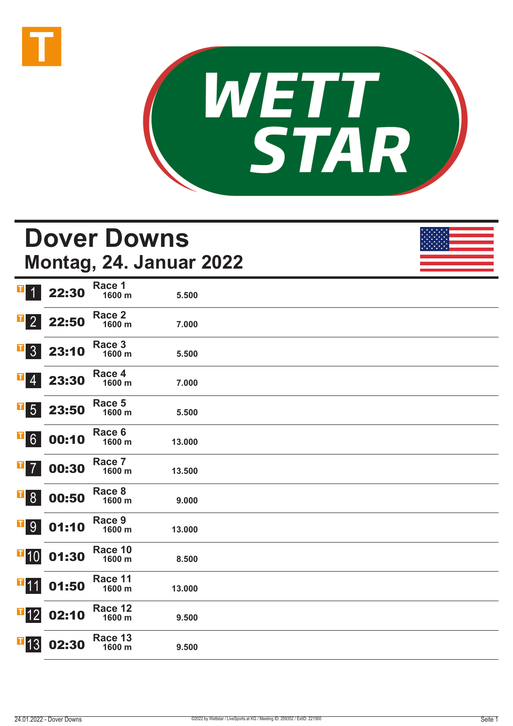



# **Dover Downs Montag, 24. Januar 2022**

| T<br>$\overline{1}$            | 22:30 | Race 1<br>1600 m  | 5.500  |  |
|--------------------------------|-------|-------------------|--------|--|
| П<br>$\overline{2}$            | 22:50 | Race 2<br>1600 m  | 7.000  |  |
| T,<br>3 <sup>1</sup>           | 23:10 | Race 3<br>1600 m  | 5.500  |  |
| $\blacksquare$                 | 23:30 | Race 4<br>1600 m  | 7.000  |  |
| $\blacksquare$ 5               | 23:50 | Race 5<br>1600 m  | 5.500  |  |
| $\overline{\phantom{0}}$ 6     | 00:10 | Race 6<br>1600 m  | 13.000 |  |
| $\mathbf{T}$<br>$\overline{7}$ | 00:30 | Race 7<br>1600 m  | 13.500 |  |
| $\mathbf{F}$                   | 00:50 | Race 8<br>1600 m  | 9.000  |  |
| <b>T</b> <sup>9</sup>          | 01:10 | Race 9<br>1600 m  | 13.000 |  |
| $\blacksquare$ 10              | 01:30 | Race 10<br>1600 m | 8.500  |  |
| $\mathbf{I}$ 11                | 01:50 | Race 11<br>1600 m | 13.000 |  |
| $\overline{1}$ 12              | 02:10 | Race 12<br>1600 m | 9.500  |  |
| 13                             | 02:30 | Race 13<br>1600 m | 9.500  |  |
|                                |       |                   |        |  |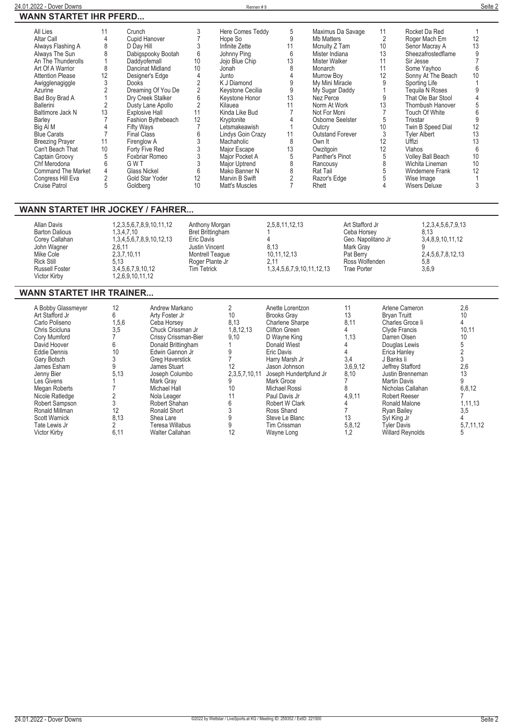$\overline{\phantom{0}}$ 

| 24.01.2022 - Dover Downs      | Rennen # | Seite 2 |
|-------------------------------|----------|---------|
| <b>WANN STARTET IHR PFERD</b> |          |         |

| All Lies                  | 11 | Crunch                |    | Here Comes Teddy  | 5  | Maximus Da Savage       | 11 | Rocket Da Red            |    |  |
|---------------------------|----|-----------------------|----|-------------------|----|-------------------------|----|--------------------------|----|--|
| Altar Call                |    | <b>Cupid Hanover</b>  |    | Hope So           | 9  | Mb Matters              |    | Roger Mach Em            | 12 |  |
| Always Flashing A         |    | D Day Hill            |    | Infinite Zette    | 11 | Mcnulty Z Tam           | 10 | Senor Macray A           | 13 |  |
| Always The Sun            |    | Dabigspooky Bootah    | 6  | Johnny Ping       | 6  | Mister Indiana          | 13 | Sheezafrostedflame       |    |  |
| An The Thunderolls        |    | Daddvofemall          | 10 | Jojo Blue Chip    | 13 | Mister Walker           | 11 | Sir Jesse                |    |  |
| Art Of A Warrior          |    | Dancinat Midland      | 10 | Jonah             | 8  | Monarch                 | 11 | Some Yavhoo              |    |  |
| <b>Attention Please</b>   | 12 | Designer's Edge       |    | Junto             |    | Murrow Boy              | 12 | Sonny At The Beach       | 10 |  |
| Awigglenagiggle           |    | Dooks                 |    | K J Diamond       |    | My Mini Miracle         |    | Sporting Life            |    |  |
| Azurine                   |    | Dreaming Of You De    |    | Keystone Cecilia  |    | My Sugar Daddy          |    | Tequila N Roses          |    |  |
| Bad Boy Brad A            |    | Dry Creek Stalker     |    | Keystone Honor    | 13 | Nez Perce               | 9  | That Ole Bar Stool       |    |  |
| Ballerini                 |    | Dusty Lane Apollo     |    | Kilauea           | 11 | Norm At Work            | 13 | <b>Thornbush Hanover</b> |    |  |
| Baltimore Jack N          | 13 | <b>Explosive Hall</b> | 11 | Kinda Like Bud    |    | Not For Moni            |    | <b>Touch Of White</b>    |    |  |
| Barley                    |    | Fashion Bythebeach    | 12 | Kryptonite        |    | Osborne Seelster        | 5  | Trixstar                 |    |  |
| Big Al M                  |    | <b>Fifty Ways</b>     |    | Letsmakeawish     |    | Outcry                  | 10 | Twin B Speed Dial        | 12 |  |
| <b>Blue Carats</b>        |    | <b>Final Class</b>    |    | Lindys Goin Crazy | 11 | <b>Outstand Forever</b> | 3  | Tyler Albert             | 13 |  |
| <b>Breezing Prayer</b>    | 11 | Firenglow A           |    | Machaholic        | 8  | Own It                  | 12 | Uffizi                   | 13 |  |
| Can't Beach That          | 10 | Forty Five Red        |    | Major Escape      | 13 | Owzitgoin               | 12 | Vlahos                   |    |  |
| Captain Groovy            |    | Foxbriar Romeo        |    | Major Pocket A    |    | Panther's Pinot         |    | <b>Volley Ball Beach</b> | 10 |  |
| Chf Merodona              |    | G W T                 |    | Major Uptrend     |    | Rancousy                |    | Wichita Lineman          | 10 |  |
| <b>Command The Market</b> |    | <b>Glass Nickel</b>   |    | Mako Banner N     |    | Rat Tail                |    | Windemere Frank          | 12 |  |
| Congress Hill Eva         |    | Gold Star Yoder       | 12 | Marvin B Swift    |    | Razor's Edge            |    | Wise Image               |    |  |
| Cruise Patrol             |    | Goldberg              |    | Matt's Muscles    |    | Rhett                   |    | Wisers Deluxe            |    |  |

## **WANN STARTET IHR JOCKEY / FAHRER...**

**Goldberg 10**

| Allan Davis<br><b>Barton Dalious</b><br>Corey Callahan<br>John Wagner<br>Mike Cole<br><b>Rick Still</b><br><b>Russell Foster</b> | 1,2,3,5,6,7,8,9,10,11,12<br>.3.4.7.10<br>1,3,4,5,6,7,8,9,10,12,13<br>2.6.11<br>2,3,7,10,11<br>5.13<br>3,4,5,6,7,9,10,12 | Anthony Morgan<br>Bret Brittingham<br>Eric Davis<br>Justin Vincent<br>Montrell Teague<br>Roger Plante Jr<br><b>Tim Tetrick</b> | 2,5,8,11,12,13<br>8.13<br>10,11,12,13<br>2.11<br>1,3,4,5,6,7,9,10,11,12,13 | Art Stafford Jr<br>Ceba Horsey<br>Geo. Napolitano Jr<br>Mark Gray<br>Pat Berry<br>Ross Wolfenden<br>Trae Porter | 1, 2, 3, 4, 5, 6, 7, 9, 13<br>8.13<br>3,4,8,9,10,11,12<br>2,4,5,6,7,8,12,13<br>5.8<br>3,6,9 |
|----------------------------------------------------------------------------------------------------------------------------------|-------------------------------------------------------------------------------------------------------------------------|--------------------------------------------------------------------------------------------------------------------------------|----------------------------------------------------------------------------|-----------------------------------------------------------------------------------------------------------------|---------------------------------------------------------------------------------------------|
| Victor Kirby                                                                                                                     | 1,2,6,9,10,11,12                                                                                                        |                                                                                                                                |                                                                            |                                                                                                                 |                                                                                             |

# **WANN STARTET IHR TRAINER...**

| A Bobby Glassmeyer   | 12    | Andrew Markano         |                 | Anette Lorentzon       |          | Arlene Cameron          | 2,6       |
|----------------------|-------|------------------------|-----------------|------------------------|----------|-------------------------|-----------|
| Art Stafford Jr      | 6     | Arty Foster Jr         | 10 <sup>°</sup> | <b>Brooks Grav</b>     | 13       | <b>Bryan Truitt</b>     | 10        |
| Carlo Poliseno       | 1,5,6 | Ceba Horsey            | 8,13            | Charlene Sharpe        | 8,11     | Charles Groce li        |           |
| Chris Scicluna       | 3,5   | Chuck Crissman Jr      | 1,8,12,13       | Clifton Green          |          | Clyde Francis           | 10,11     |
| Cory Mumford         |       | Crissy Crissman-Bier   | 9,10            | D Wavne King           | 1,13     | Darren Olsen            | 10        |
| David Hoover         | 6     | Donald Brittingham     |                 | <b>Donald Wiest</b>    |          | Douglas Lewis           |           |
| <b>Eddie Dennis</b>  | 10    | Edwin Gannon Jr        |                 | Eric Davis             |          | Erica Hanley            |           |
| Gary Botsch          |       | Greg Haverstick        |                 | Harry Marsh Jr         | 3,4      | J Banks li              |           |
| James Esham          |       | James Stuart           | 12              | Jason Johnson          | 3,6,9,12 | Jeffrey Stafford        | 2,6       |
| Jenny Bier           | 5,13  | Joseph Columbo         | 2,3,5,7,10,11   | Joseph Hundertpfund Jr | 8,10     | Justin Brenneman        | 13        |
| Les Givens           |       | Mark Grav              |                 | Mark Groce             |          | <b>Martin Davis</b>     | 9         |
| Megan Roberts        |       | Michael Hall           | 10              | Michael Rossi          |          | Nicholas Callahan       | 6,8,12    |
| Nicole Ratledge      |       | Nola Leager            |                 | Paul Davis Jr          | 4,9,11   | <b>Robert Reeser</b>    |           |
| Robert Sampson       |       | Robert Shahan          |                 | Robert W Clark         |          | Ronald Malone           | 1,11,13   |
| Ronald Millman       | 12    | Ronald Short           |                 | Ross Shand             |          | <b>Ryan Bailey</b>      | 3,5       |
| <b>Scott Warnick</b> | 8,13  | Shea Lare              |                 | Steve Le Blanc         | 13       | Syl King Jr             |           |
| Tate Lewis Jr        |       | Teresa Willabus        |                 | Tim Crissman           | 5,8,12   | Tyler Davis             | 5,7,11,12 |
| Victor Kirby         | 6,11  | <b>Walter Callahan</b> |                 | Wayne Long             | 1,2      | <b>Willard Reynolds</b> |           |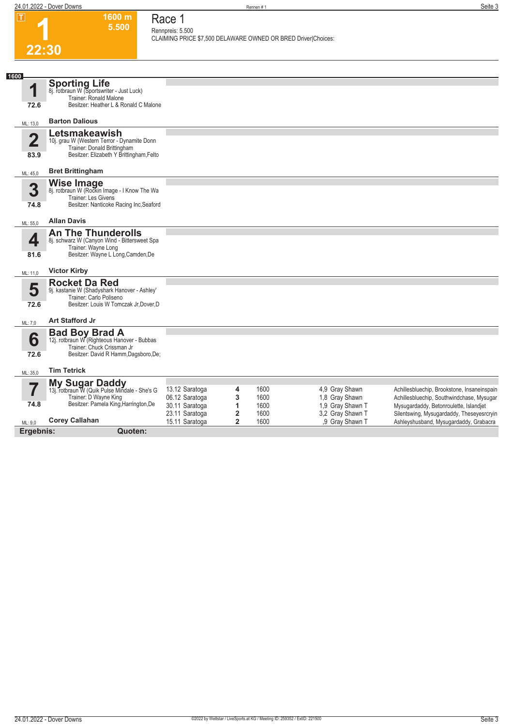**1600 m 5.500** 

**Race 1 Rennpreis: 5.500**

**CLAIMING PRICE \$7,500 DELAWARE OWNED OR BRED Driver|Choices:** 

**1**

|                                 | 22:30                                                                                                                                       |                                                    |                                       |                      |                                                         |                                                                                                                               |
|---------------------------------|---------------------------------------------------------------------------------------------------------------------------------------------|----------------------------------------------------|---------------------------------------|----------------------|---------------------------------------------------------|-------------------------------------------------------------------------------------------------------------------------------|
|                                 |                                                                                                                                             |                                                    |                                       |                      |                                                         |                                                                                                                               |
| 1600<br>1<br>72.6               | Sporting Life<br>8j. rotbraun W (Sportswriter - Just Luck)<br>Trainer: Ronald Malone<br>Besitzer: Heather L & Ronald C Malone               |                                                    |                                       |                      |                                                         |                                                                                                                               |
| ML: 13,0                        | <b>Barton Dalious</b>                                                                                                                       |                                                    |                                       |                      |                                                         |                                                                                                                               |
| $\overline{\mathbf{2}}$<br>83.9 | Letsmakeawish<br>10j. grau W (Western Terror - Dynamite Donn<br>Trainer: Donald Brittingham<br>Besitzer: Elizabeth Y Brittingham, Felto     |                                                    |                                       |                      |                                                         |                                                                                                                               |
| ML: 45,0                        | <b>Bret Brittingham</b>                                                                                                                     |                                                    |                                       |                      |                                                         |                                                                                                                               |
| 3<br>74.8                       | Wise Image Missell Philone B. I Know The Wa<br>Trainer: Les Givens<br>Besitzer: Nanticoke Racing Inc, Seaford                               |                                                    |                                       |                      |                                                         |                                                                                                                               |
| ML: 55,0                        | <b>Allan Davis</b>                                                                                                                          |                                                    |                                       |                      |                                                         |                                                                                                                               |
| 4<br>81.6                       | <b>An The Thunderolls</b><br>8j. schwarz W (Canyon Wind - Bittersweet Spa<br>Trainer: Wayne Long<br>Besitzer: Wayne L Long, Camden, De      |                                                    |                                       |                      |                                                         |                                                                                                                               |
| ML: 11,0                        | <b>Victor Kirby</b>                                                                                                                         |                                                    |                                       |                      |                                                         |                                                                                                                               |
| 5<br>72.6                       | <b>Rocket Da Red</b><br>9j. kastanie W (Shadyshark Hanover - Ashley'<br>Trainer: Carlo Poliseno<br>Besitzer: Louis W Tomczak Jr, Dover, D   |                                                    |                                       |                      |                                                         |                                                                                                                               |
| ML: 7,0                         | <b>Art Stafford Jr</b>                                                                                                                      |                                                    |                                       |                      |                                                         |                                                                                                                               |
| 6<br>72.6                       | <b>Bad Boy Brad A</b><br>12j. rotbraun W (Righteous Hanover - Bubbas<br>Trainer: Chuck Crissman Jr<br>Besitzer: David R Hamm, Dagsboro, De; |                                                    |                                       |                      |                                                         |                                                                                                                               |
| ML: 35,0                        | <b>Tim Tetrick</b>                                                                                                                          |                                                    |                                       |                      |                                                         |                                                                                                                               |
| 5                               | My Sugar Daddy<br>13j. rotbraun W (Quik Pulse Mindale - She's G<br>Trainer: D Wayne King                                                    | 13.12 Saratoga<br>06.12 Saratoga                   | 4<br>3                                | 1600<br>1600         | 4,9 Gray Shawn<br>1,8 Gray Shawn                        | Achillesbluechip, Brookstone, Insaneinspain<br>Achillesbluechip, Southwindchase, Mysugar                                      |
| 74.8<br>ML: 9.0                 | Besitzer: Pamela King, Harrington, De<br><b>Corey Callahan</b>                                                                              | 30.11 Saratoga<br>23.11 Saratoga<br>15.11 Saratoga | 1<br>$\overline{2}$<br>$\overline{2}$ | 1600<br>1600<br>1600 | 1,9 Gray Shawn T<br>3,2 Gray Shawn T<br>.9 Gray Shawn T | Mysugardaddy, Betonroulette, Islandjet<br>Silentswing, Mysugardaddy, Theseyesrcryin<br>Ashleyshusband, Mysugardaddy, Grabacra |

15.11 Saratoga **2** 1600 ,9 Gray Shawn T Ashleyshusband, Mysugardaddy, Grabacra

**Ergebnis: Quoten:**

ML: 9,0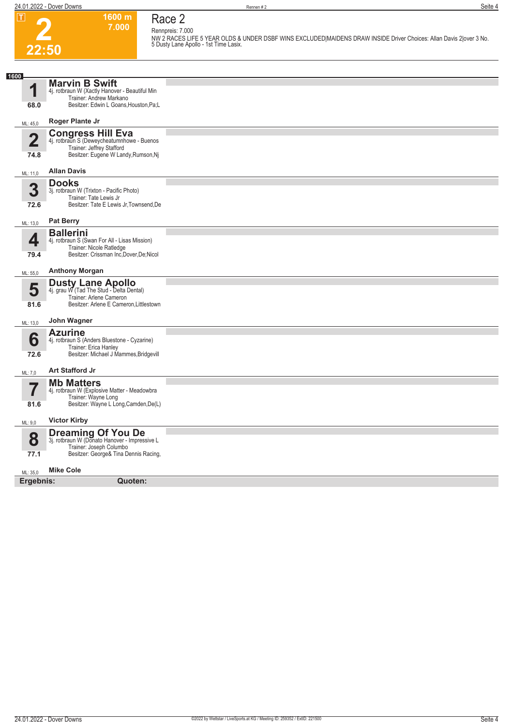

# **Race 2 Rennpreis: 7.000**

**1600 m 7.000** 

**NW 2 RACES LIFE 5 YEAR OLDS & UNDER DSBF WINS EXCLUDED|MAIDENS DRAW INSIDE Driver Choices: Allan Davis 2|over 3 No. 5 Dusty Lane Apollo - 1st Time Lasix.** 

| 1600                            |                                                                                                                                                |  |
|---------------------------------|------------------------------------------------------------------------------------------------------------------------------------------------|--|
| 68.0                            | <b>Marvin B Swift</b><br>4j. rotbraun W (Xactly Hanover - Beautiful Min<br>Trainer: Andrew Markano<br>Besitzer: Edwin L Goans, Houston, Pa;L   |  |
| ML: 45,0                        | Roger Plante Jr                                                                                                                                |  |
| $\overline{\mathbf{2}}$<br>74.8 | <b>Congress Hill Eva</b><br>4j. rotbraun S (Deweycheatumnhowe - Buenos<br>Trainer: Jeffrey Stafford<br>Besitzer: Eugene W Landy, Rumson, Nj    |  |
| ML: 11,0                        | <b>Allan Davis</b>                                                                                                                             |  |
| 3<br>72.6                       | <b>Dooks</b><br>3j. rotbraun W (Trixton - Pacific Photo)<br>Trainer: Tate Lewis Jr<br>Besitzer: Tate E Lewis Jr, Townsend, De                  |  |
| ML: 13,0                        | <b>Pat Berry</b>                                                                                                                               |  |
| 4<br>79.4                       | <b>Ballerini</b><br>4j. rotbraun S (Swan For All - Lisas Mission)<br>Trainer: Nicole Ratledge<br>Besitzer: Crissman Inc, Dover, De; Nicol      |  |
| ML: 55,0                        | <b>Anthony Morgan</b>                                                                                                                          |  |
| 5<br>81.6                       | <b>Dusty Lane Apollo</b><br>4j. grau W (Tad The Stud - Delta Dental)<br>Trainer: Arlene Cameron<br>Besitzer: Arlene E Cameron, Littlestown     |  |
| ML: 13,0                        | John Wagner                                                                                                                                    |  |
| 6<br>72.6                       | <b>Azurine</b><br>4j. rotbraun S (Anders Bluestone - Cyzarine)<br>Trainer: Erica Hanley<br>Besitzer: Michael J Mammes, Bridgevill              |  |
| ML: 7,0                         | Art Stafford Jr                                                                                                                                |  |
| $\overline{\mathbf{Z}}$<br>81.6 | <b>Mb Matters</b><br>4j. rotbraun W (Explosive Matter - Meadowbra<br>Trainer: Wayne Long<br>Besitzer: Wayne L Long, Camden, De(L)              |  |
| ML: 9,0                         | <b>Victor Kirby</b>                                                                                                                            |  |
| 8<br>77.1                       | <b>Dreaming Of You De</b><br>3j. rotbraun W (Donato Hanover - Impressive L<br>Trainer: Joseph Columbo<br>Besitzer: George& Tina Dennis Racing, |  |
| ML: 35,0                        | <b>Mike Cole</b>                                                                                                                               |  |
| Ergebnis:                       | Quoten:                                                                                                                                        |  |
|                                 |                                                                                                                                                |  |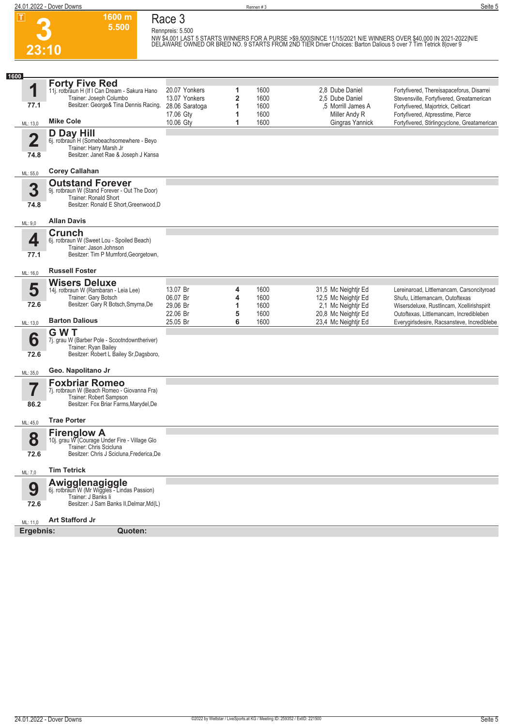**3**

**23:10**

**Race 3 Rennpreis: 5.500**

**1600 m 5.500** 

NW \$4,001 LAST 5 STARTS WINNERS FOR A PURSE >\$9,500|SINCE 11/15/2021 N/E WINNERS OVER \$40,000 IN 2021-2022|N/E<br>DELÀWARE OWNED OR BRED NO. 9 STARTS FROM 2ND TIER Driver Choices: Barton Dalious 5 over 7 Tim Tetrick 8|over 9

| 1600                    |                                                                                                              |                                 |        |              |                                           |                                                                                   |
|-------------------------|--------------------------------------------------------------------------------------------------------------|---------------------------------|--------|--------------|-------------------------------------------|-----------------------------------------------------------------------------------|
| 1                       | <b>Forty Five Red</b><br>11j. rotbraun H (If I Can Dream - Sakura Hano                                       | 20.07 Yonkers                   | 1      | 1600         | 2.8 Dube Daniel                           | Fortyfivered, Thereisapaceforus, Disarrei                                         |
| 77.1                    | Trainer: Joseph Columbo<br>Besitzer: George& Tina Dennis Racing,                                             | 13.07 Yonkers<br>28.06 Saratoga | 2<br>1 | 1600<br>1600 | 2,5 Dube Daniel<br>,5 Morrill James A     | Stevensville, Fortyfivered, Greatamerican<br>Fortyfivered, Majortrick, Celticart  |
| ML: 13,0                | <b>Mike Cole</b>                                                                                             | 17.06 Gty<br>10.06 Gty          | 1<br>1 | 1600<br>1600 | Miller Andy R<br>Gingras Yannick          | Fortyfivered, Atpresstime, Pierce<br>Fortyfivered, Stirlingcyclone, Greatamerican |
|                         | D Day Hill                                                                                                   |                                 |        |              |                                           |                                                                                   |
| $\overline{\mathbf{2}}$ | 6j. rotbraun H (Somebeachsomewhere - Beyo<br>Trainer: Harry Marsh Jr<br>Besitzer: Janet Rae & Joseph J Kansa |                                 |        |              |                                           |                                                                                   |
| 74.8                    |                                                                                                              |                                 |        |              |                                           |                                                                                   |
| ML: 55,0                | <b>Corey Callahan</b>                                                                                        |                                 |        |              |                                           |                                                                                   |
| 3                       | <b>Outstand Forever</b><br>9j. rotbraun W (Stand Forever - Out The Door)                                     |                                 |        |              |                                           |                                                                                   |
| 74.8                    | Trainer: Ronald Short<br>Besitzer: Ronald E Short, Greenwood, D                                              |                                 |        |              |                                           |                                                                                   |
| ML: 9,0                 | <b>Allan Davis</b>                                                                                           |                                 |        |              |                                           |                                                                                   |
|                         | <b>Crunch</b>                                                                                                |                                 |        |              |                                           |                                                                                   |
| 4                       | 6j. rotbraun W (Sweet Lou - Spoiled Beach)<br>Trainer: Jason Johnson                                         |                                 |        |              |                                           |                                                                                   |
| 77.1                    | Besitzer: Tim P Mumford, Georgetown,                                                                         |                                 |        |              |                                           |                                                                                   |
| ML: 16,0                | <b>Russell Foster</b>                                                                                        |                                 |        |              |                                           |                                                                                   |
|                         | <b>Wisers Deluxe</b>                                                                                         |                                 |        |              |                                           |                                                                                   |
| 5                       | 14j. rotbraun W (Rambaran - Leia Lee)<br>Trainer: Gary Botsch                                                | 13.07 Br                        | 4      | 1600         | 31,5 Mc Neightir Ed                       | Lereinaroad, Littlemancam, Carsoncityroad                                         |
| 72.6                    | Besitzer: Gary R Botsch, Smyrna, De                                                                          | 06.07 Br<br>29.06 Br            | 4<br>1 | 1600<br>1600 | 12,5 Mc Neightir Ed<br>2,1 Mc Neightir Ed | Shufu, Littlemancam, Outoftexas<br>Wisersdeluxe, Rustlincam, Xcellirishspirit     |
|                         |                                                                                                              | 22.06 Br                        | 5      | 1600         | 20,8 Mc Neightir Ed                       | Outoftexas, Littlemancam, Incredibleben                                           |
| ML: 13,0                | <b>Barton Dalious</b>                                                                                        | 25.05 Br                        | 6      | 1600         | 23,4 Mc Neightir Ed                       | Everygirlsdesire, Racsansteve, Incrediblebe                                       |
| 6                       | <b>GWT</b><br>7j. grau W (Barber Pole - Scootndowntheriver)                                                  |                                 |        |              |                                           |                                                                                   |
|                         | Trainer: Ryan Bailey<br>Besitzer: Robert L Bailey Sr, Dagsboro,                                              |                                 |        |              |                                           |                                                                                   |
| 72.6                    |                                                                                                              |                                 |        |              |                                           |                                                                                   |
| ML: 35,0                | Geo. Napolitano Jr                                                                                           |                                 |        |              |                                           |                                                                                   |
| 57                      | <b>Foxbriar Romeo</b><br>7j. rotbraun W (Beach Romeo - Giovanna Fra)                                         |                                 |        |              |                                           |                                                                                   |
| 86.2                    | Trainer: Robert Sampson<br>Besitzer: Fox Briar Farms, Marydel, De                                            |                                 |        |              |                                           |                                                                                   |
|                         |                                                                                                              |                                 |        |              |                                           |                                                                                   |
| ML: 45,0                | <b>Trae Porter</b>                                                                                           |                                 |        |              |                                           |                                                                                   |
| 8                       | <b>Firenglow A</b><br>10j. grau W (Courage Under Fire - Village Glo                                          |                                 |        |              |                                           |                                                                                   |
| 72.6                    | Trainer: Chris Scicluna<br>Besitzer: Chris J Scicluna, Frederica, De                                         |                                 |        |              |                                           |                                                                                   |
|                         | <b>Tim Tetrick</b>                                                                                           |                                 |        |              |                                           |                                                                                   |
| ML: 7,0                 |                                                                                                              |                                 |        |              |                                           |                                                                                   |
| 9                       | Awigglenagiggle<br>6j. rotbraun W (Mr Wiggles - Lindas Passion)                                              |                                 |        |              |                                           |                                                                                   |
| 72.6                    | Trainer: J Banks li<br>Besitzer: J Sam Banks II, Delmar, Md(L)                                               |                                 |        |              |                                           |                                                                                   |
|                         |                                                                                                              |                                 |        |              |                                           |                                                                                   |
| ML: 11,0                | <b>Art Stafford Jr</b>                                                                                       |                                 |        |              |                                           |                                                                                   |
| Ergebnis:               | Quoten:                                                                                                      |                                 |        |              |                                           |                                                                                   |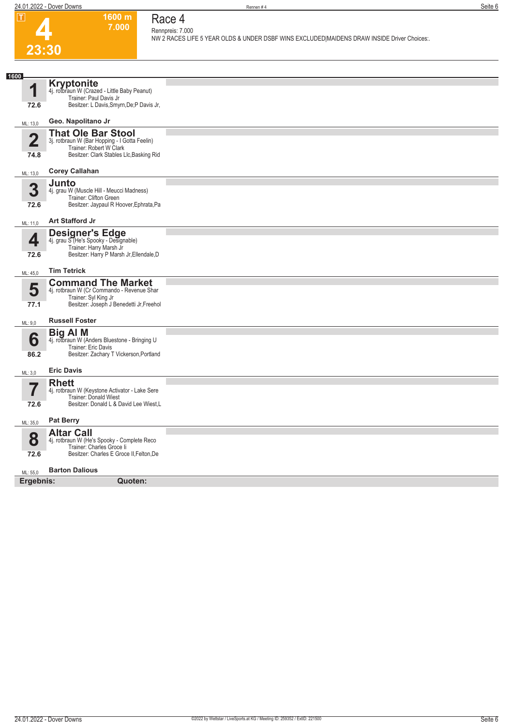

### **7.000 Race 4 Rennpreis: 7.000**

**1600 m**

**NW 2 RACES LIFE 5 YEAR OLDS & UNDER DSBF WINS EXCLUDED|MAIDENS DRAW INSIDE Driver Choices:.** 

| 1600                |                                                                                                                                                   |
|---------------------|---------------------------------------------------------------------------------------------------------------------------------------------------|
| И                   | <b>Kryptonite</b><br>4j. rotbraun W (Crazed - Little Baby Peanut)<br>Trainer: Paul Davis Jr                                                       |
| 72.6                | Besitzer: L Davis, Smyrn, De; P Davis Jr,                                                                                                         |
| ML: 13,0            | Geo. Napolitano Jr                                                                                                                                |
| $\mathbf 2$<br>74.8 | <b>That Ole Bar Stool</b><br>3j. rotbraun W (Bar Hopping - I Gotta Feelin)<br>Trainer: Robert W Clark<br>Besitzer: Clark Stables Llc, Basking Rid |
|                     | <b>Corey Callahan</b>                                                                                                                             |
| ML: 13,0            |                                                                                                                                                   |
| 3<br>72.6           | Junto<br>4j. grau W (Muscle Hill - Meucci Madness)<br>Trainer: Clifton Green<br>Besitzer: Jaypaul R Hoover, Ephrata, Pa                           |
| ML: 11,0            | <b>Art Stafford Jr</b>                                                                                                                            |
| 4<br>72.6           | <b>Designer's Edge</b><br>4j. grau S (He's Spooky - Designable)<br>Trainer: Harry Marsh Jr<br>Besitzer: Harry P Marsh Jr, Ellendale, D            |
| ML: 45,0            | <b>Tim Tetrick</b>                                                                                                                                |
|                     | <b>Command The Market</b>                                                                                                                         |
| 5<br>77.1           | 4j. rotbraun W (Cr Commando - Revenue Shar<br>Trainer: Syl King Jr<br>Besitzer: Joseph J Benedetti Jr, Freehol                                    |
|                     |                                                                                                                                                   |
| ML: 9,0             | <b>Russell Foster</b>                                                                                                                             |
| 6<br>86.2           | <b>Big AI M</b><br>4j. rotbraun W (Anders Bluestone - Bringing U<br>Trainer: Eric Davis<br>Besitzer: Zachary T Vickerson, Portland                |
| ML: 3,0             | <b>Eric Davis</b>                                                                                                                                 |
| 7                   | <b>Rhett</b><br>4j. rotbraun W (Keystone Activator - Lake Sere<br><b>Trainer: Donald Wiest</b>                                                    |
| 72.6                | Besitzer: Donald L & David Lee Wiest, L                                                                                                           |
| ML: 35,0            | <b>Pat Berry</b>                                                                                                                                  |
| 8                   | <b>Altar Call</b><br>4j. rotbraun W (He's Spooky - Complete Reco<br>Trainer: Charles Groce li                                                     |
| 72.6                | Besitzer: Charles E Groce II, Felton, De                                                                                                          |
| ML: 55,0            | <b>Barton Dalious</b>                                                                                                                             |
| Ergebnis:           | Quoten:                                                                                                                                           |
|                     |                                                                                                                                                   |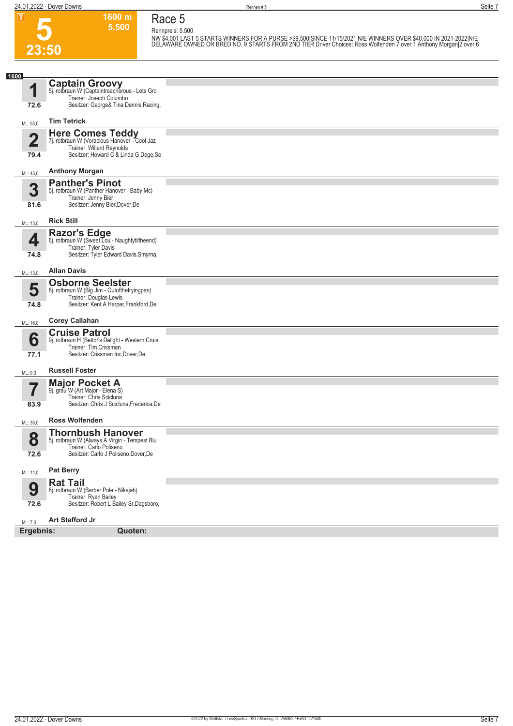**24.01.2022 - Dover Downs** Rennen # 5 **Seite 7**

**23:50**

**5**

**Race 5 Rennpreis: 5.500**

**1600 m 5.500** 

NW \$4,001 LAST 5 STARTS WINNERS FOR A PURSE >\$9,500|SINCE 11/15/2021 N/E WINNERS OVER \$40,000 IN 2021-2022|N/E<br>DELÀWARE OWNED OR BRED NO. 9 STARTS FROM 2ND TIER Driver Choices: Ross Wolfenden 7 over 1 Anthony Morgan|2 ove

| 1600                   |                                                                                                                                               |  |
|------------------------|-----------------------------------------------------------------------------------------------------------------------------------------------|--|
| 1<br>72.6              | <b>Captain Groovy</b><br>5j. rotbraun W (Captaintreacherous - Lets Gro<br>Trainer: Joseph Columbo<br>Besitzer: George& Tina Dennis Racing,    |  |
| ML: 55,0               | <b>Tim Tetrick</b>                                                                                                                            |  |
|                        |                                                                                                                                               |  |
| $\overline{2}$<br>79.4 | <b>Here Comes Teddy</b><br>7j. rotbraun W (Voracious Hanover - Cool Jaz<br>Trainer: Willard Reynolds<br>Besitzer: Howard C & Linda G Dege, Se |  |
| ML: 45,0               | <b>Anthony Morgan</b>                                                                                                                         |  |
| 3<br>81.6              | <b>Panther's Pinot</b><br>5j. rotbraun W (Panther Hanover - Baby Mc)<br>Trainer: Jenny Bier<br>Besitzer: Jenny Bier, Dover, De                |  |
| ML: 13,0               | <b>Rick Still</b>                                                                                                                             |  |
| 4<br>74.8              | Razor's Edge<br>6j. rotbraun W (Sweet Lou - Naughtytiltheend)<br>Trainer: Tyler Davis<br>Besitzer: Tyler Edward Davis, Smyrna,                |  |
| ML: 13,0               | <b>Allan Davis</b>                                                                                                                            |  |
| 5<br>74.8              | <b>Osborne Seelster</b><br>8j. rotbraun W (Big Jim - Outofthefryingpan)<br>Trainer: Douglas Lewis<br>Besitzer: Kent A Harper, Frankford, De   |  |
| ML: 16,0               | <b>Corey Callahan</b>                                                                                                                         |  |
| 6<br>77.1              | <b>Cruise Patrol</b><br>9j. rotbraun H (Bettor's Delight - Western Cruis<br>Trainer: Tim Crissman<br>Besitzer: Crissman Inc, Dover, De        |  |
| ML: 9,0                | <b>Russell Foster</b>                                                                                                                         |  |
| 83.9                   | <b>Major Pocket A</b><br>9j. grau W (Art Major - Elena S)<br>Trainer: Chris Scicluna<br>Besitzer: Chris J Scicluna, Frederica, De             |  |
| ML: 35,0               | <b>Ross Wolfenden</b>                                                                                                                         |  |
| 8<br>72.6              | <b>Thornbush Hanover</b><br>5j. rotbraun W (Always A Virgin - Tempest Blu<br>Trainer: Carlo Poliseno<br>Besitzer: Carlo J Poliseno, Dover, De |  |
| ML: 11,0               | <b>Pat Berry</b>                                                                                                                              |  |
| 9<br>72.6              | <b>Rat Tail</b><br>8j. rotbraun W (Barber Pole - Nikajah)<br>Trainer: Ryan Bailey<br>Besitzer: Robert L Bailey Sr, Dagsboro,                  |  |
| ML: 7,0                | <b>Art Stafford Jr</b>                                                                                                                        |  |
| Ergebnis:              | Quoten:                                                                                                                                       |  |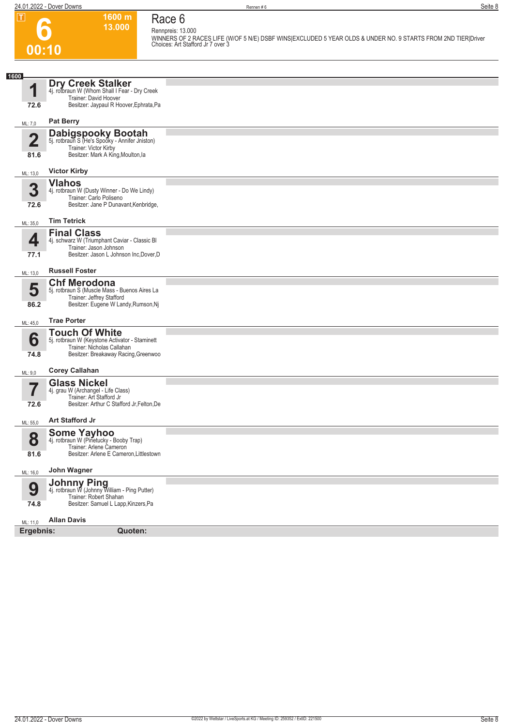**1600 m 13.000**  **Race 6**

**6 00:10**

**Rennpreis: 13.000 WINNERS OF 2 RACES LIFE (W/OF 5 N/E) DSBF WINS|EXCLUDED 5 YEAR OLDS & UNDER NO. 9 STARTS FROM 2ND TIER|Driver Choices: Art Stafford Jr 7 over 3** 

| 1600                    |                                                                                                                                  |  |
|-------------------------|----------------------------------------------------------------------------------------------------------------------------------|--|
| 1                       | <b>Dry Creek Stalker</b><br>4j. rotbraun W (Whom Shall I Fear - Dry Creek                                                        |  |
| 72.6                    | Trainer: David Hoover<br>Besitzer: Jaypaul R Hoover, Ephrata, Pa                                                                 |  |
| ML: 7,0                 | <b>Pat Berry</b>                                                                                                                 |  |
| $\overline{\mathbf{2}}$ | <b>Dabigspooky Bootah</b><br>5j. rotbraun S (He's Spooky - Annifer Jniston)<br>Trainer: Victor Kirby                             |  |
| 81.6                    | Besitzer: Mark A King, Moulton, la                                                                                               |  |
| ML: 13,0                | <b>Victor Kirby</b>                                                                                                              |  |
| 3<br>72.6               | <b>Vlahos</b><br>4j. rotbraun W (Dusty Winner - Do We Lindy)<br>Trainer: Carlo Poliseno<br>Besitzer: Jane P Dunavant, Kenbridge, |  |
| ML: 35,0                | <b>Tim Tetrick</b>                                                                                                               |  |
| 4                       | <b>Final Class</b><br>4j. schwarz W (Triumphant Caviar - Classic Bl                                                              |  |
| 77.1                    | Trainer: Jason Johnson<br>Besitzer: Jason L Johnson Inc, Dover, D                                                                |  |
| ML: 13,0                | <b>Russell Foster</b>                                                                                                            |  |
|                         | <b>Chf Merodona</b>                                                                                                              |  |
| 5<br>86.2               | 5j. rotbraun S (Muscle Mass - Buenos Aires La<br>Trainer: Jeffrey Stafford<br>Besitzer: Eugene W Landy, Rumson, Nj               |  |
| ML: 45,0                | <b>Trae Porter</b>                                                                                                               |  |
|                         | <b>Touch Of White</b>                                                                                                            |  |
| 6<br>74.8               | 5j. rotbraun W (Keystone Activator - Staminett<br>Trainer: Nicholas Callahan<br>Besitzer: Breakaway Racing, Greenwoo             |  |
|                         |                                                                                                                                  |  |
| ML: 9,0                 | <b>Corey Callahan</b><br><b>Glass Nickel</b>                                                                                     |  |
| 7                       | 4j. grau W (Archangel - Life Class)<br>Trainer: Art Stafford Jr                                                                  |  |
| 72.6                    | Besitzer: Arthur C Stafford Jr, Felton, De                                                                                       |  |
| ML: 55,0                | <b>Art Stafford Jr</b>                                                                                                           |  |
| 8                       | Some Yayhoo<br>4j. rotbraun W (Pinetucky - Booby Trap)                                                                           |  |
| 81.6                    | Trainer: Arlene Cameron<br>Besitzer: Arlene E Cameron, Littlestown                                                               |  |
| ML: 16,0                | John Wagner                                                                                                                      |  |
| 9                       | Johnny Ping<br>4j. rotbraun W (Johnny William - Ping Putter)                                                                     |  |
| 74.8                    | Trainer: Robert Shahan<br>Besitzer: Samuel L Lapp, Kinzers, Pa                                                                   |  |
| ML: 11,0                | <b>Allan Davis</b>                                                                                                               |  |
| Ergebnis:               | Quoten:                                                                                                                          |  |
|                         |                                                                                                                                  |  |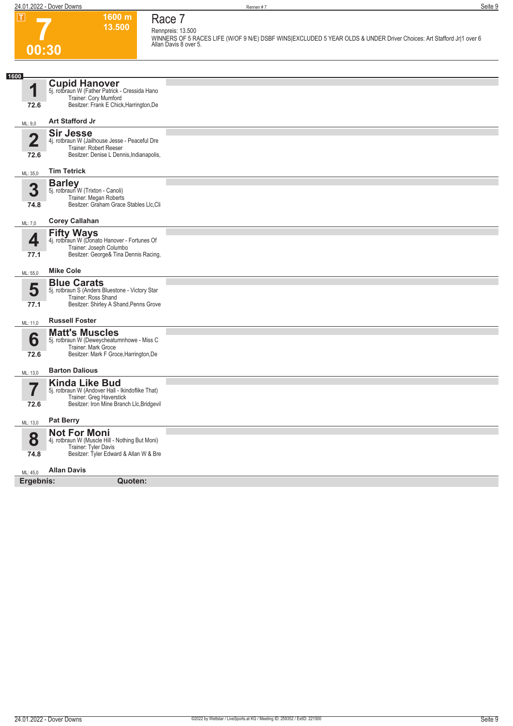**1600 m 13.500** 

**Race 7 Rennpreis: 13.500**

**WINNERS OF 5 RACES LIFE (W/OF 9 N/E) DSBF WINS|EXCLUDED 5 YEAR OLDS & UNDER Driver Choices: Art Stafford Jr|1 over 6 Allan Davis 8 over 5.** 

# **7 00:30**

| 1                       | <b>Cupid Hanover</b><br>5j. rotbraun W (Father Patrick - Cressida Hano    |  |
|-------------------------|---------------------------------------------------------------------------|--|
|                         | Trainer: Cory Mumford                                                     |  |
| 72.6                    | Besitzer: Frank E Chick, Harrington, De                                   |  |
| ML: 9,0                 | Art Stafford Jr                                                           |  |
|                         | <b>Sir Jesse</b>                                                          |  |
| $\overline{\mathbf{2}}$ | 4j. rotbraun W (Jailhouse Jesse - Peaceful Dre                            |  |
|                         | Trainer: Robert Reeser<br>Besitzer: Denise L Dennis, Indianapolis,        |  |
| 72.6                    |                                                                           |  |
| ML: 35,0                | <b>Tim Tetrick</b>                                                        |  |
|                         | <b>Barley</b>                                                             |  |
| 3                       | 5j. rotbraun W (Trixton - Canoli)<br>Trainer: Megan Roberts               |  |
| 74.8                    | Besitzer: Graham Grace Stables Llc, Cli                                   |  |
|                         |                                                                           |  |
| ML: 7,0                 | <b>Corey Callahan</b>                                                     |  |
|                         | <b>Fifty Ways</b>                                                         |  |
| 4                       | 4j. rotbraun W (Donato Hanover - Fortunes Of<br>Trainer: Joseph Columbo   |  |
| 77.1                    | Besitzer: George& Tina Dennis Racing,                                     |  |
|                         |                                                                           |  |
| ML: 55,0                | <b>Mike Cole</b>                                                          |  |
|                         | <b>Blue Carats</b>                                                        |  |
| 5                       | 5j. rotbraun S (Anders Bluestone - Victory Star<br>Trainer: Ross Shand    |  |
| 77.1                    | Besitzer: Shirley A Shand, Penns Grove                                    |  |
|                         |                                                                           |  |
| ML: 11,0                | <b>Russell Foster</b>                                                     |  |
|                         | <b>Matt's Muscles</b>                                                     |  |
| 6                       | 5j. rotbraun W (Deweycheatumnhowe - Miss C<br>Trainer: Mark Groce         |  |
| 72.6                    | Besitzer: Mark F Groce, Harrington, De                                    |  |
|                         |                                                                           |  |
| ML: 13,0                | <b>Barton Dalious</b>                                                     |  |
| 7                       | <b>Kinda Like Bud</b><br>5j. rotbraun W (Andover Hall - Ikindoflike That) |  |
|                         | Trainer: Greg Haverstick                                                  |  |
| 72.6                    | Besitzer: Iron Mine Branch Llc, Bridgevil                                 |  |
| ML: 13,0                | <b>Pat Berry</b>                                                          |  |
|                         | <b>Not For Moni</b>                                                       |  |
| 8                       | 4j. rotbraun W (Muscle Hill - Nothing But Moni)                           |  |
|                         | Trainer: Tyler Davis                                                      |  |
| 74.8                    | Besitzer: Tyler Edward & Allan W & Bre                                    |  |
| ML: 45.0                | <b>Allan Davis</b>                                                        |  |
| Ergebnis:               |                                                                           |  |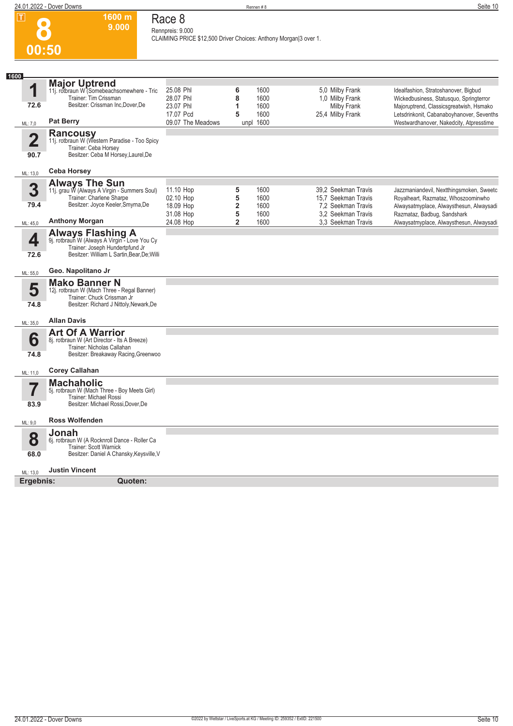

## **Race 8 Rennpreis: 9.000**

**1600 m 9.000** 

**CLAIMING PRICE \$12,500 Driver Choices: Anthony Morgan|3 over 1.** 

| 1600                   |                                                                                                                                                             |                                                  |                     |                      |                                                                       |                                                                                                                             |
|------------------------|-------------------------------------------------------------------------------------------------------------------------------------------------------------|--------------------------------------------------|---------------------|----------------------|-----------------------------------------------------------------------|-----------------------------------------------------------------------------------------------------------------------------|
| 1<br>72.6              | <b>Major Uptrend</b><br>11j. rotbraun W (Somebeachsomewhere - Tric<br>Trainer: Tim Crissman<br>Besitzer: Crissman Inc.Dover.De                              | 25.08 Phl<br>28.07 Phl<br>23.07 Phl<br>17.07 Pcd | 6<br>8<br>1<br>5    | 1600<br>1600<br>1600 | 5,0 Milby Frank<br>1,0 Milby Frank<br>Milby Frank<br>25,4 Milby Frank | Idealfashion, Stratoshanover, Bigbud<br>Wickedbusiness, Statusquo, Springterror<br>Majoruptrend, Classicsgreatwish, Hsmako  |
| ML: 7,0                | <b>Pat Berry</b>                                                                                                                                            | 09.07 The Meadows                                |                     | 1600<br>unpl 1600    |                                                                       | Letsdrinkonit, Cabanaboyhanover, Sevenths<br>Westwardhanover, Nakedcity, Atpresstime                                        |
| $\overline{2}$<br>90.7 | Rancousy<br>11j. rotbraun W (Western Paradise - Too Spicy<br>Trainer: Ceba Horsey<br>Besitzer: Ceba M Horsey, Laurel, De                                    |                                                  |                     |                      |                                                                       |                                                                                                                             |
| ML: 13,0               | <b>Ceba Horsey</b>                                                                                                                                          |                                                  |                     |                      |                                                                       |                                                                                                                             |
| 3<br>79.4              | <b>Always The Sun</b><br>11j. grau W (Always A Virgin - Summers Soul)<br>Trainer: Charlene Sharpe<br>Besitzer: Joyce Keeler, Smyrna, De                     | 11.10 Hop<br>02.10 Hop<br>18.09 Hop              | 5<br>5<br>2         | 1600<br>1600<br>1600 | 39,2 Seekman Travis<br>15.7 Seekman Travis<br>7.2 Seekman Travis      | Jazzmaniandevil, Nextthingsmoken, Sweetc<br>Royalheart, Razmataz, Whoszoominwho<br>Alwaysatmyplace, Alwaysthesun, Alwaysadi |
| ML: 45,0               | <b>Anthony Morgan</b>                                                                                                                                       | 31.08 Hop<br>24.08 Hop                           | 5<br>$\overline{2}$ | 1600<br>1600         | 3.2 Seekman Travis<br>3.3 Seekman Travis                              | Razmataz, Badbug, Sandshark<br>Alwaysatmyplace, Alwaysthesun, Alwaysadi                                                     |
| 4<br>72.6              | <b>Always Flashing A</b><br>9j. rotbraun W (Always A Virgin - Love You Cy<br>Trainer: Joseph Hundertpfund Jr<br>Besitzer: William L Sartin, Bear, De; Willi |                                                  |                     |                      |                                                                       |                                                                                                                             |
| ML: 55,0               | Geo. Napolitano Jr                                                                                                                                          |                                                  |                     |                      |                                                                       |                                                                                                                             |
| 5<br>74.8              | <b>Mako Banner N</b><br>12j. rotbraun W (Mach Three - Regal Banner)<br>Trainer: Chuck Crissman Jr<br>Besitzer: Richard J Nittoly, Newark, De                |                                                  |                     |                      |                                                                       |                                                                                                                             |
| ML: 35,0               | <b>Allan Davis</b>                                                                                                                                          |                                                  |                     |                      |                                                                       |                                                                                                                             |
| 6<br>74.8              | <b>Art Of A Warrior</b><br>8j. rotbraun W (Art Director - Its A Breeze)<br>Trainer: Nicholas Callahan<br>Besitzer: Breakaway Racing, Greenwoo               |                                                  |                     |                      |                                                                       |                                                                                                                             |
| ML: 11,0               | <b>Corey Callahan</b>                                                                                                                                       |                                                  |                     |                      |                                                                       |                                                                                                                             |
| 7<br>83.9              | <b>Machaholic</b><br>5j. rotbraun W (Mach Three - Boy Meets Girl)<br>Trainer: Michael Rossi<br>Besitzer: Michael Rossi, Dover, De                           |                                                  |                     |                      |                                                                       |                                                                                                                             |
| ML: 9,0                | <b>Ross Wolfenden</b>                                                                                                                                       |                                                  |                     |                      |                                                                       |                                                                                                                             |
| 8<br>68.0              | Jonah<br>6j. rotbraun W (A Rocknroll Dance - Roller Ca<br>Trainer: Scott Warnick<br>Besitzer: Daniel A Chansky, Keysville, V                                |                                                  |                     |                      |                                                                       |                                                                                                                             |
| ML: 13,0               | <b>Justin Vincent</b>                                                                                                                                       |                                                  |                     |                      |                                                                       |                                                                                                                             |
| Ergebnis:              | Quoten:                                                                                                                                                     |                                                  |                     |                      |                                                                       |                                                                                                                             |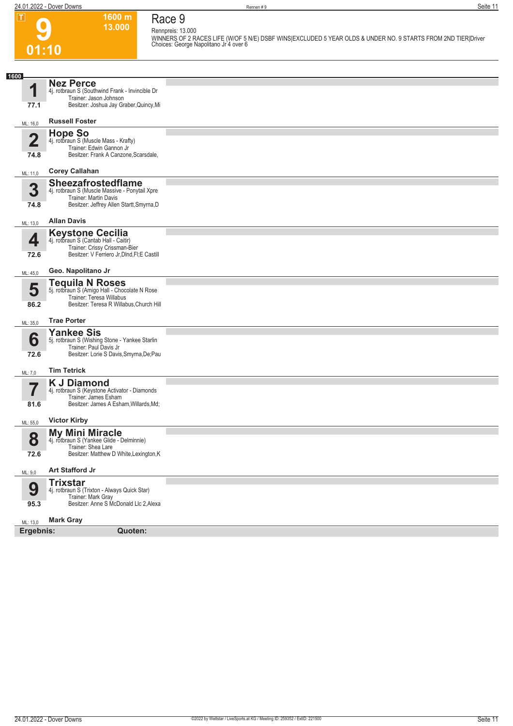**01:10**

**9**

**Race 9**

**13.000** 

**1600 m**

**Rennpreis: 13.000 WINNERS OF 2 RACES LIFE (W/OF 5 N/E) DSBF WINS|EXCLUDED 5 YEAR OLDS & UNDER NO. 9 STARTS FROM 2ND TIER|Driver Choices: George Napolitano Jr 4 over 6** 

| 1600                    |                                                                           |  |
|-------------------------|---------------------------------------------------------------------------|--|
| 4                       | <b>Nez Perce</b>                                                          |  |
|                         | 4j. rotbraun S (Southwind Frank - Invincible Dr<br>Trainer: Jason Johnson |  |
| 77.1                    | Besitzer: Joshua Jay Graber, Quincy, Mi                                   |  |
| ML: 16,0                | <b>Russell Foster</b>                                                     |  |
|                         | <b>Hope So</b>                                                            |  |
| $\overline{\mathbf{2}}$ | 4j. rotbraun S (Muscle Mass - Krafty)<br>Trainer: Edwin Gannon Jr         |  |
| 74.8                    | Besitzer: Frank A Canzone, Scarsdale,                                     |  |
| ML: 11,0                | <b>Corey Callahan</b>                                                     |  |
| 3                       | <b>Sheezafrostedflame</b>                                                 |  |
|                         | 4j. rotbraun S (Muscle Massive - Ponytail Xpre<br>Trainer: Martin Davis   |  |
| 74.8                    | Besitzer: Jeffrey Allen Startt, Smyrna, D                                 |  |
| ML: 13,0                | <b>Allan Davis</b>                                                        |  |
|                         | <b>Keystone Cecilia</b>                                                   |  |
| 4                       | 4j. rotbraun S (Cantab Hall - Caitir)<br>Trainer: Crissy Crissman-Bier    |  |
| 72.6                    | Besitzer: V Ferriero Jr, DInd, FI; E Castill                              |  |
| ML: 45,0                | Geo. Napolitano Jr                                                        |  |
|                         | <b>Tequila N Roses</b><br>5j. rotbraun S (Amigo Hall - Chocolate N Rose   |  |
| 5                       | Trainer: Teresa Willabus                                                  |  |
| 86.2                    | Besitzer: Teresa R Willabus, Church Hill                                  |  |
| ML: 35,0                | <b>Trae Porter</b>                                                        |  |
|                         | <b>Yankee Sis</b>                                                         |  |
| 6                       | 5j. rotbraun S (Wishing Stone - Yankee Starlin<br>Trainer: Paul Davis Jr  |  |
| 72.6                    | Besitzer: Lorie S Davis, Smyrna, De; Pau                                  |  |
| ML: 7,0                 | <b>Tim Tetrick</b>                                                        |  |
|                         | <b>K J Diamond</b>                                                        |  |
|                         | 4j. rotbraun S (Keystone Activator - Diamonds<br>Trainer: James Esham     |  |
| 81.6                    | Besitzer: James A Esham, Willards, Md;                                    |  |
| ML: 55,0                | <b>Victor Kirby</b>                                                       |  |
|                         | <b>My Mini Miracle</b>                                                    |  |
| Ō                       | 4j. rotbraun S (Yankee Glide - Delminnie)<br>Trainer: Shea Lare           |  |
| 72.6                    | Besitzer: Matthew D White, Lexington, K                                   |  |
| ML: 9,0                 | <b>Art Stafford Jr</b>                                                    |  |
|                         | <b>Trixstar</b>                                                           |  |
| 9                       | 4j. rotbraun S (Trixton - Always Quick Star)<br>Trainer: Mark Gray        |  |
| 95.3                    | Besitzer: Anne S McDonald Llc 2, Alexa                                    |  |
| ML: 13,0                | <b>Mark Gray</b>                                                          |  |
| Ergebnis:               | Quoten:                                                                   |  |
|                         |                                                                           |  |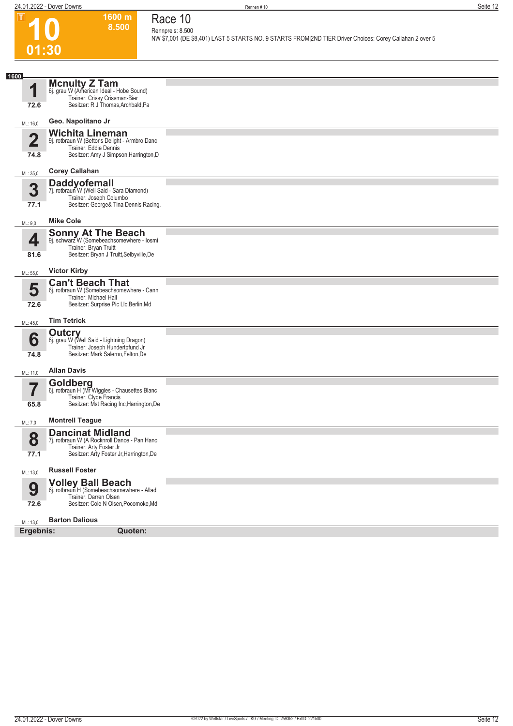**10**

 $\boxed{1}$ 

**01:30**

**1600 m 8.500 Race 10 Rennpreis: 8.500**

**NW \$7,001 (DE \$8,401) LAST 5 STARTS NO. 9 STARTS FROM|2ND TIER Driver Choices: Corey Callahan 2 over 5** 

| 1600                    | <b>Mcnulty Z Tam</b>                                                                          |  |
|-------------------------|-----------------------------------------------------------------------------------------------|--|
| 1                       | 6j. grau W (American Ideal - Hobe Sound)                                                      |  |
| 72.6                    | Trainer: Crissy Crissman-Bier<br>Besitzer: R J Thomas, Archbald, Pa                           |  |
| ML: 16,0                | Geo. Napolitano Jr                                                                            |  |
|                         | <b>Wichita Lineman</b>                                                                        |  |
| $\overline{\mathbf{2}}$ | 9j. rotbraun W (Bettor's Delight - Armbro Danc<br>Trainer: Eddie Dennis                       |  |
| 74.8                    | Besitzer: Amy J Simpson, Harrington, D                                                        |  |
| ML: 35,0                | <b>Corey Callahan</b>                                                                         |  |
| 3                       | <b>Daddyofemall</b>                                                                           |  |
|                         | 7j. rotbraun W (Well Said - Sara Diamond)<br>Trainer: Joseph Columbo                          |  |
| 77.1                    | Besitzer: George& Tina Dennis Racing,                                                         |  |
| ML: 9,0                 | <b>Mike Cole</b>                                                                              |  |
| 4                       | <b>Sonny At The Beach</b><br>9j. schwarz W (Somebeachsomewhere - losmi                        |  |
| 81.6                    | Trainer: Bryan Truitt<br>Besitzer: Bryan J Truitt, Selbyville, De                             |  |
|                         |                                                                                               |  |
| ML: 55,0                | <b>Victor Kirby</b>                                                                           |  |
| 5                       | <b>Can't Beach That</b><br>6j. rotbraun W (Somebeachsomewhere - Cann<br>Trainer: Michael Hall |  |
| 72.6                    | Besitzer: Surprise Pic Llc, Berlin, Md                                                        |  |
| ML: 45,0                | <b>Tim Tetrick</b>                                                                            |  |
|                         | Outcry                                                                                        |  |
| 6                       | 8j. grau W (Well Said - Lightning Dragon)<br>Trainer: Joseph Hundertpfund Jr                  |  |
| 74.8                    | Besitzer: Mark Salerno, Felton, De                                                            |  |
| ML: 11,0                | <b>Allan Davis</b>                                                                            |  |
| 7,                      | Goldberg<br>6j. rotbraun H (Mr Wiggles - Chausettes Blanc                                     |  |
|                         | Trainer: Clyde Francis                                                                        |  |
| 65.8                    | Besitzer: Mst Racing Inc, Harrington, De                                                      |  |
| ML: 7,0                 | <b>Montrell Teague</b>                                                                        |  |
| 8                       | <b>Dancinat Midland</b><br>7j. rotbraun W (A Rocknroll Dance - Pan Hano                       |  |
| 77.1                    | Trainer: Arty Foster Jr<br>Besitzer: Arty Foster Jr, Harrington, De                           |  |
|                         |                                                                                               |  |
| ML: 13,0                | <b>Russell Foster</b>                                                                         |  |
| 9                       | Volley Ball Beach<br>6j. rotbraun H (Somebeachsomewhere - Allad                               |  |
| 72.6                    | Trainer: Darren Olsen<br>Besitzer: Cole N Olsen, Pocomoke, Md                                 |  |
|                         |                                                                                               |  |
| ML: 13,0<br>Ergebnis:   | <b>Barton Dalious</b><br>Quoten:                                                              |  |
|                         |                                                                                               |  |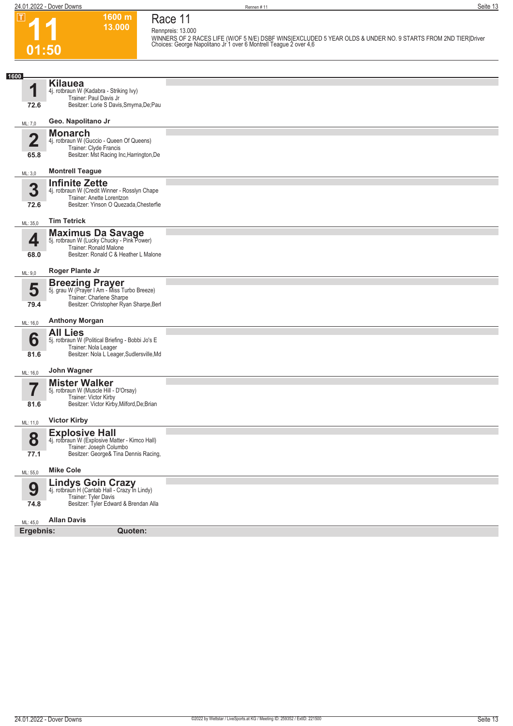**1600 m**

**Race 11**

| ட                       | 1999 HL<br>13.000                                                          | Race II<br>Rennpreis: 13.000                                                                                                                                                       |
|-------------------------|----------------------------------------------------------------------------|------------------------------------------------------------------------------------------------------------------------------------------------------------------------------------|
|                         |                                                                            | WINNERS OF 2 RACES LIFE (W/OF 5 N/E) DSBF WINS EXCLUDED 5 YEAR OLDS & UNDER NO. 9 STARTS FROM 2ND TIER Driver<br>Choices: George Napolitano Jr 1 over 6 Montrell Teague 2 over 4,6 |
| 01:50                   |                                                                            |                                                                                                                                                                                    |
|                         |                                                                            |                                                                                                                                                                                    |
| 1600                    |                                                                            |                                                                                                                                                                                    |
| 1                       | <b>Kilauea</b><br>4j. rotbraun W (Kadabra - Striking Ivy)                  |                                                                                                                                                                                    |
|                         | Trainer: Paul Davis Jr                                                     |                                                                                                                                                                                    |
| 72.6                    | Besitzer: Lorie S Davis, Smyrna, De; Pau                                   |                                                                                                                                                                                    |
| ML: 7,0                 | Geo. Napolitano Jr                                                         |                                                                                                                                                                                    |
| $\overline{\mathbf{2}}$ | <b>Monarch</b>                                                             |                                                                                                                                                                                    |
|                         | 4j. rotbraun W (Guccio - Queen Of Queens)<br>Trainer: Clyde Francis        |                                                                                                                                                                                    |
| 65.8                    | Besitzer: Mst Racing Inc, Harrington, De                                   |                                                                                                                                                                                    |
| ML: 3,0                 | <b>Montrell Teague</b>                                                     |                                                                                                                                                                                    |
|                         | <b>Infinite Zette</b>                                                      |                                                                                                                                                                                    |
| 3                       | 4j. rotbraun W (Credit Winner - Rosslyn Chape<br>Trainer: Anette Lorentzon |                                                                                                                                                                                    |
| 72.6                    | Besitzer: Yinson O Quezada, Chesterfie                                     |                                                                                                                                                                                    |
| ML: 35,0                | <b>Tim Tetrick</b>                                                         |                                                                                                                                                                                    |
|                         | <b>Maximus Da Savage</b><br>5j. rotbraun W (Lucky Chucky - Pink Power)     |                                                                                                                                                                                    |
| 4                       | Trainer: Ronald Malone                                                     |                                                                                                                                                                                    |
| 68.0                    | Besitzer: Ronald C & Heather L Malone                                      |                                                                                                                                                                                    |
| ML: 9,0                 | Roger Plante Jr                                                            |                                                                                                                                                                                    |
|                         | <b>Breezing Prayer</b><br>5j. grau W (Prayer I Am - Miss Turbo Breeze)     |                                                                                                                                                                                    |
| 5                       | Trainer: Charlene Sharpe                                                   |                                                                                                                                                                                    |
| 79.4                    | Besitzer: Christopher Ryan Sharpe, Berl                                    |                                                                                                                                                                                    |
| ML: 16,0                | <b>Anthony Morgan</b>                                                      |                                                                                                                                                                                    |
|                         | <b>All Lies</b>                                                            |                                                                                                                                                                                    |
| 6                       | 5j. rotbraun W (Political Briefing - Bobbi Jo's E<br>Trainer: Nola Leager  |                                                                                                                                                                                    |
| 81.6                    | Besitzer: Nola L Leager, Sudlersville, Md                                  |                                                                                                                                                                                    |
| ML: 16,0                | John Wagner                                                                |                                                                                                                                                                                    |
|                         | <b>Mister Walker</b>                                                       |                                                                                                                                                                                    |
|                         | 5j. rotbraun W (Muscle Hill - D'Orsay)<br>Trainer: Victor Kirby            |                                                                                                                                                                                    |
| 81.6                    | Besitzer: Victor Kirby, Milford, De; Brian                                 |                                                                                                                                                                                    |
| ML: 11,0                | <b>Victor Kirby</b>                                                        |                                                                                                                                                                                    |
|                         | Explosive Hall<br>4j. rotbraun W (Explosive Matter - Kimco Hall)           |                                                                                                                                                                                    |
| 8                       | Trainer: Joseph Columbo                                                    |                                                                                                                                                                                    |
| 77.1                    | Besitzer: George& Tina Dennis Racing,                                      |                                                                                                                                                                                    |
| ML: 55,0                | <b>Mike Cole</b>                                                           |                                                                                                                                                                                    |
|                         | Lindys Goin Crazy<br>4j. rotbraun H (Cantab Hall - Crazy In Lindy)         |                                                                                                                                                                                    |
| 9                       | Trainer: Tyler Davis                                                       |                                                                                                                                                                                    |
| 74.8                    | Besitzer: Tyler Edward & Brendan Alla                                      |                                                                                                                                                                                    |
| ML: 45,0                | <b>Allan Davis</b>                                                         |                                                                                                                                                                                    |
| Ergebnis:               | Quoten:                                                                    |                                                                                                                                                                                    |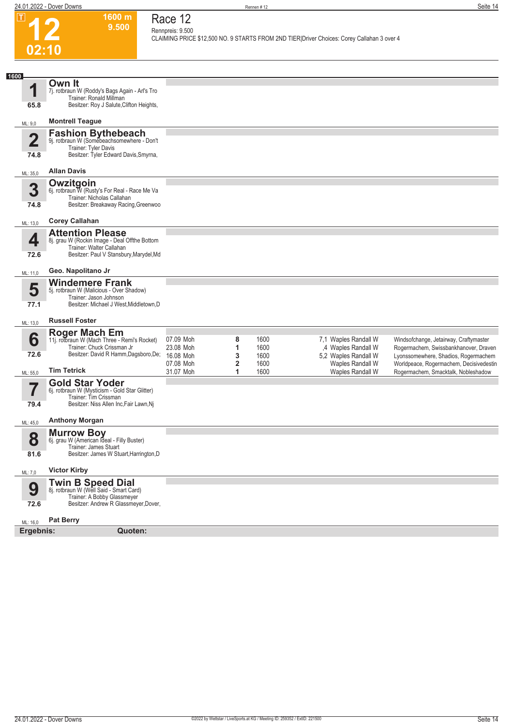$\boxed{1}$ 



## **Race 12 Rennpreis: 9.500**

**CLAIMING PRICE \$12,500 NO. 9 STARTS FROM 2ND TIER|Driver Choices: Corey Callahan 3 over 4** 

| 1600                            |                                                                                                                                                 |                                                  |             |                              |                                                                     |                                                                                                                         |
|---------------------------------|-------------------------------------------------------------------------------------------------------------------------------------------------|--------------------------------------------------|-------------|------------------------------|---------------------------------------------------------------------|-------------------------------------------------------------------------------------------------------------------------|
| 1<br>65.8                       | Own It<br>7j. rotbraun W (Roddy's Bags Again - Arl's Tro<br>Trainer: Ronald Millman<br>Besitzer: Roy J Salute, Clifton Heights,                 |                                                  |             |                              |                                                                     |                                                                                                                         |
| ML: 9,0                         | <b>Montrell Teague</b>                                                                                                                          |                                                  |             |                              |                                                                     |                                                                                                                         |
| $\overline{\mathbf{2}}$<br>74.8 | <b>Fashion Bythebeach</b><br>9j. rotbraun W (Somebeachsomewhere - Don't<br>Trainer: Tyler Davis<br>Besitzer: Tyler Edward Davis, Smyrna,        |                                                  |             |                              |                                                                     |                                                                                                                         |
| ML: 35,0                        | <b>Allan Davis</b>                                                                                                                              |                                                  |             |                              |                                                                     |                                                                                                                         |
| 3<br>74.8                       | <b>Owzitgoin</b><br>6j. rotbraun W (Rusty's For Real - Race Me Va<br>Trainer: Nicholas Callahan<br>Besitzer: Breakaway Racing, Greenwoo         |                                                  |             |                              |                                                                     |                                                                                                                         |
| ML: 13,0                        | <b>Corey Callahan</b>                                                                                                                           |                                                  |             |                              |                                                                     |                                                                                                                         |
| 4<br>72.6                       | <b>Attention Please</b><br>8j. grau W (Rockin Image - Deal Offthe Bottom<br>Trainer: Walter Callahan<br>Besitzer: Paul V Stansbury, Marydel, Md |                                                  |             |                              |                                                                     |                                                                                                                         |
| ML: 11,0                        | Geo. Napolitano Jr                                                                                                                              |                                                  |             |                              |                                                                     |                                                                                                                         |
| 5<br>77.1                       | <b>Windemere Frank</b><br>5j. rotbraun W (Malicious - Over Shadow)<br>Trainer: Jason Johnson<br>Besitzer: Michael J West, Middletown, D         |                                                  |             |                              |                                                                     |                                                                                                                         |
| ML: 13,0                        | <b>Russell Foster</b>                                                                                                                           |                                                  |             |                              |                                                                     |                                                                                                                         |
| 6<br>72.6                       | Roger Mach Em<br>11j. rotbraun W (Mach Three - Remi's Rocket)<br>Trainer: Chuck Crissman Jr<br>Besitzer: David R Hamm, Dagsboro, De;            | 07.09 Moh<br>23.08 Moh<br>16.08 Moh<br>07.08 Moh | 8<br>1<br>3 | 1600<br>1600<br>1600<br>1600 | 7,1 Waples Randall W<br>,4 Waples Randall W<br>5,2 Waples Randall W | Windsofchange, Jetairway, Craftymaster<br>Rogermachem, Swissbankhanover, Draven<br>Lyonssomewhere, Shadios, Rogermachem |
| ML: 55,0                        | <b>Tim Tetrick</b>                                                                                                                              | 31.07 Moh                                        | 2<br>1      | 1600                         | Waples Randall W<br><b>Waples Randall W</b>                         | Worldpeace, Rogermachem, Decisivedestin<br>Rogermachem, Smacktalk, Nobleshadow                                          |
| 5,<br>79.4                      | <b>Gold Star Yoder</b><br>6j. rotbraun W (Mysticism - Gold Star Glitter)<br>Trainer: Tim Crissman<br>Besitzer: Niss Allen Inc, Fair Lawn, Nj    |                                                  |             |                              |                                                                     |                                                                                                                         |
| ML: 45,0                        | <b>Anthony Morgan</b>                                                                                                                           |                                                  |             |                              |                                                                     |                                                                                                                         |
| 8<br>81.6                       | <b>Murrow Boy</b><br>6j. grau W (American Ideal - Filly Buster)<br>Trainer: James Stuart<br>Besitzer: James W Stuart, Harrington, D             |                                                  |             |                              |                                                                     |                                                                                                                         |
| ML: 7,0                         | <b>Victor Kirby</b>                                                                                                                             |                                                  |             |                              |                                                                     |                                                                                                                         |
| 9<br>72.6                       | <b>Twin B Speed Dial</b><br>8j. rotbraun W (Well Said - Smart Card)<br>Trainer: A Bobby Glassmeyer<br>Besitzer: Andrew R Glassmeyer, Dover,     |                                                  |             |                              |                                                                     |                                                                                                                         |
| ML: 16,0<br>Ergebnis:           | <b>Pat Berry</b><br>Quoten:                                                                                                                     |                                                  |             |                              |                                                                     |                                                                                                                         |